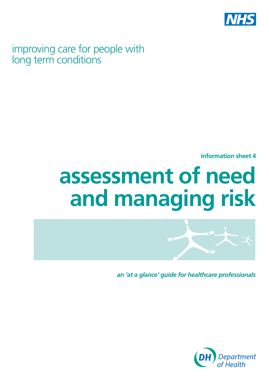

improving care for people with long term conditions

**information sheet 4** 

# **assessment of need and managing risk**



*an 'at a glance' guide for healthcare professionals*

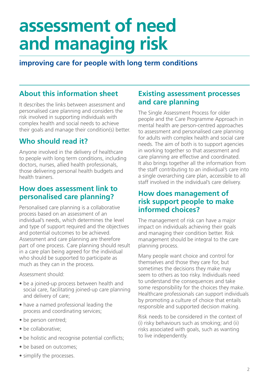## **assessment of need and managing risk**

## **improving care for people with long term conditions**

## **About this information sheet**

It describes the links between assessment and personalised care planning and considers the risk involved in supporting individuals with complex health and social needs to achieve their goals and manage their condition(s) better.

## **Who should read it?**

Anyone involved in the delivery of healthcare to people with long term conditions, including doctors, nurses, allied health professionals, those delivering personal health budgets and health trainers.

## **How does assessment link to personalised care planning?**

Personalised care planning is a collaborative process based on an assessment of an individual's needs, which determines the level and type of support required and the objectives and potential outcomes to be achieved. Assessment and care planning are therefore part of one process. Care planning should result in a care plan being agreed for the individual who should be supported to participate as much as they can in the process.

#### Assessment should:

- be a joined-up process between health and social care, facilitating joined-up care planning and delivery of care;
- have a named professional leading the process and coordinating services;
- be person centred;
- be collaborative;
- be holistic and recognise potential conflicts;
- be based on outcomes;
- simplify the processes.

## **Existing assessment processes and care planning**

The Single Assessment Process for older people and the Care Programme Approach in mental health are person-centred approaches to assessment and personalised care planning for adults with complex health and social care needs. The aim of both is to support agencies in working together so that assessment and care planning are effective and coordinated. It also brings together all the information from the staff contributing to an individual's care into a single overarching care plan, accessible to all staff involved in the individual's care delivery.

## **How does management of risk support people to make informed choices?**

The management of risk can have a major impact on individuals achieving their goals and managing their condition better. Risk management should be integral to the care planning process.

Many people want choice and control for themselves and those they care for, but sometimes the decisions they make may seem to others as too risky. Individuals need to understand the consequences and take some responsibility for the choices they make. Healthcare professionals can support individuals by promoting a culture of choice that entails responsible and supported decision making.

Risk needs to be considered in the context of (i) risky behaviours such as smoking; and (ii) risks associated with goals, such as wanting to live independently.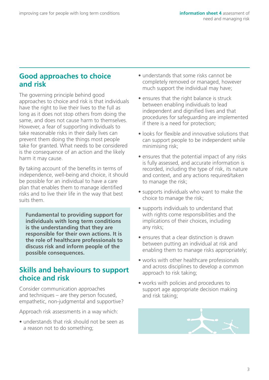## **Good approaches to choice and risk**

The governing principle behind good approaches to choice and risk is that individuals have the right to live their lives to the full as long as it does not stop others from doing the same, and does not cause harm to themselves. However, a fear of supporting individuals to take reasonable risks in their daily lives can prevent them doing the things most people take for granted. What needs to be considered is the consequence of an action and the likely harm it may cause.

By taking account of the benefits in terms of independence, well-being and choice, it should be possible for an individual to have a care plan that enables them to manage identified risks and to live their life in the way that best suits them.

**Fundamental to providing support for individuals with long term conditions is the understanding that they are responsible for their own actions. It is the role of healthcare professionals to discuss risk and inform people of the possible consequences.** 

## **Skills and behaviours to support choice and risk**

Consider communication approaches and techniques – are they person focused, empathetic, non-judgmental and supportive?

Approach risk assessments in a way which:

• understands that risk should not be seen as a reason not to do something;

- understands that some risks cannot be completely removed or managed, however much support the individual may have;
- ensures that the right balance is struck between enabling individuals to lead independent and dignified lives and that procedures for safeguarding are implemented if there is a need for protection;
- looks for flexible and innovative solutions that can support people to be independent while minimising risk;
- ensures that the potential impact of any risks is fully assessed, and accurate information is recorded, including the type of risk, its nature and context, and any actions required/taken to manage the risk;
- supports individuals who want to make the choice to manage the risk;
- supports individuals to understand that with rights come responsibilities and the implications of their choices, including any risks;
- ensures that a clear distinction is drawn between putting an individual at risk and enabling them to manage risks appropriately;
- works with other healthcare professionals and across disciplines to develop a common approach to risk taking;
- works with policies and procedures to support age appropriate decision making and risk taking;

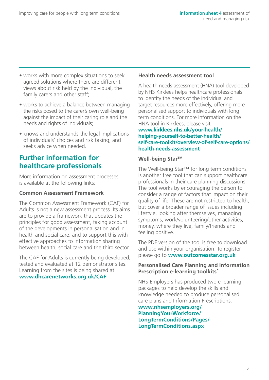- works with more complex situations to seek agreed solutions where there are different views about risk held by the individual, the family carers and other staff;
- works to achieve a balance between managing the risks posed to the carer's own well-being against the impact of their caring role and the needs and rights of individuals;
- knows and understands the legal implications of individuals' choices and risk taking, and seeks advice when needed.

## **Further information for healthcare professionals**

More information on assessment processes is available at the following links:

#### **Common Assessment Framework**

The Common Assessment Framework (CAF) for Adults is not a new assessment process. Its aims are to provide a framework that updates the principles for good assessment, taking account of the developments in personalisation and in health and social care, and to support this with effective approaches to information sharing between health, social care and the third sector.

The CAF for Adults is currently being developed, tested and evaluated at 12 demonstrator sites. Learning from the sites is being shared at **[www.dhcarenetworks.org.uk/CAF](http://www.dhcarenetworks.org.uk/CAF)** 

#### **Health needs assessment tool**

A health needs assessment (HNA) tool developed by NHS Kirklees helps healthcare professionals to identify the needs of the individual and target resources more effectively, offering more personalised support to individuals with long term conditions. For more information on the HNA tool in Kirklees, please visit **www.kirklees.nhs.uk/your-health/ helping-yourself-to-better-health/ [self-care-toolkit/overview-of-self-care-options/](http://www.kirklees.nhs.uk/your-health/helping-yourself-to-better-health/self-care-toolkit/overview-of-self-care-options/health-needs-assessment/)  health-needs-assessment** 

#### Well-being Star<sup>™</sup>

The Well-being Star™ for long term conditions is another free tool that can support healthcare professionals in their care planning discussions. The tool works by encouraging the person to consider a range of factors that impact on their quality of life. These are not restricted to health, but cover a broader range of issues including lifestyle, looking after themselves, managing symptoms, work/volunteering/other activities, money, where they live, family/friends and feeling positive.

The PDF version of the tool is free to download and use within your organisation. To register please go to **[www.outcomesstar.org.uk](http://www.outcomesstar.org.uk)** 

#### **Personalised Care Planning and Information Prescription e-learning toolkits\***

NHS Employers has produced two e-learning packages to help develop the skills and knowledge needed to produce personalised care plans and Information Prescriptions.

**www.nhsemployers.org/ PlanningYourWorkforce/ [LongTermConditions/Pages/](http://www.nhsemployers.org/planningyourworkforce/longtermconditions/pages/longtermconditions.aspx)  LongTermConditions.aspx**